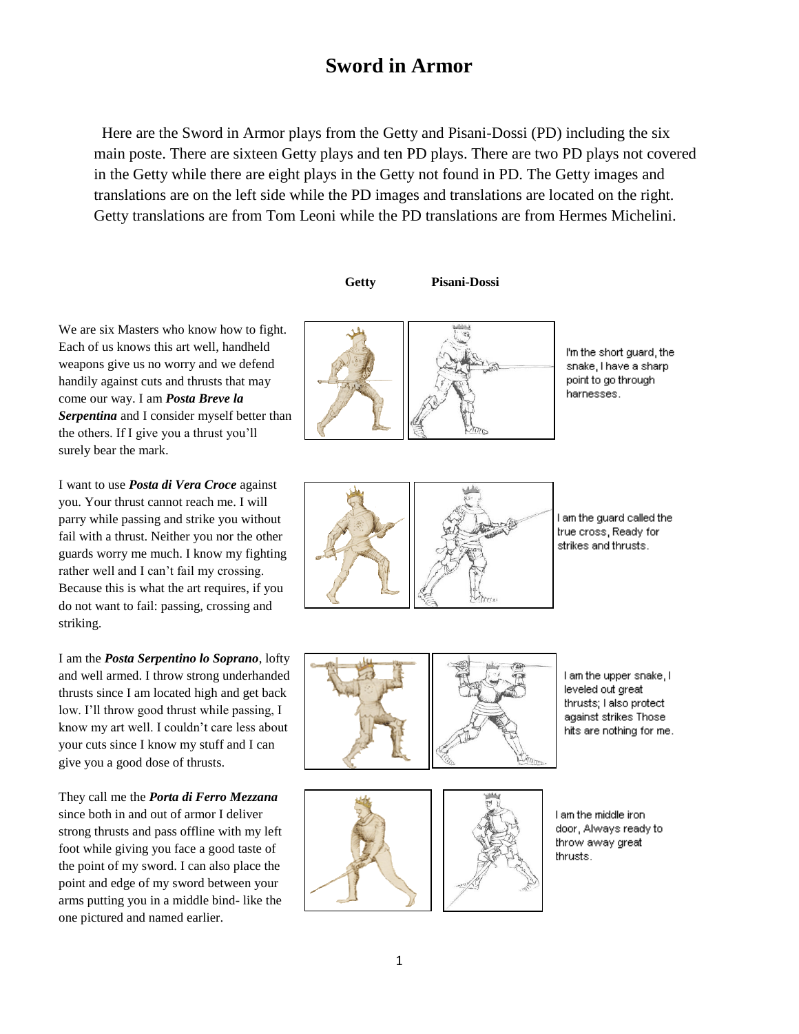# **Sword in Armor**

Here are the Sword in Armor plays from the Getty and Pisani-Dossi (PD) including the six main poste. There are sixteen Getty plays and ten PD plays. There are two PD plays not covered in the Getty while there are eight plays in the Getty not found in PD. The Getty images and translations are on the left side while the PD images and translations are located on the right. Getty translations are from Tom Leoni while the PD translations are from Hermes Michelini.

 **Getty Pisani-Dossi**

We are six Masters who know how to fight. Each of us knows this art well, handheld weapons give us no worry and we defend handily against cuts and thrusts that may come our way. I am *Posta Breve la Serpentina* and I consider myself better than the others. If I give you a thrust you'll surely bear the mark.

I want to use *Posta di Vera Croce* against you. Your thrust cannot reach me. I will parry while passing and strike you without fail with a thrust. Neither you nor the other guards worry me much. I know my fighting rather well and I can't fail my crossing. Because this is what the art requires, if you do not want to fail: passing, crossing and striking.

I am the *Posta Serpentino lo Soprano*, lofty and well armed. I throw strong underhanded thrusts since I am located high and get back low. I'll throw good thrust while passing, I know my art well. I couldn't care less about your cuts since I know my stuff and I can give you a good dose of thrusts.

They call me the *Porta di Ferro Mezzana* since both in and out of armor I deliver strong thrusts and pass offline with my left foot while giving you face a good taste of the point of my sword. I can also place the point and edge of my sword between your arms putting you in a middle bind- like the one pictured and named earlier.



I'm the short guard, the snake, I have a sharp point to go through harnesses.



I am the guard called the true cross, Ready for strikes and thrusts.



I am the upper snake, I leveled out great thrusts; I also protect against strikes Those hits are nothing for me.



I am the middle iron. door, Always ready to throw away great thrusts.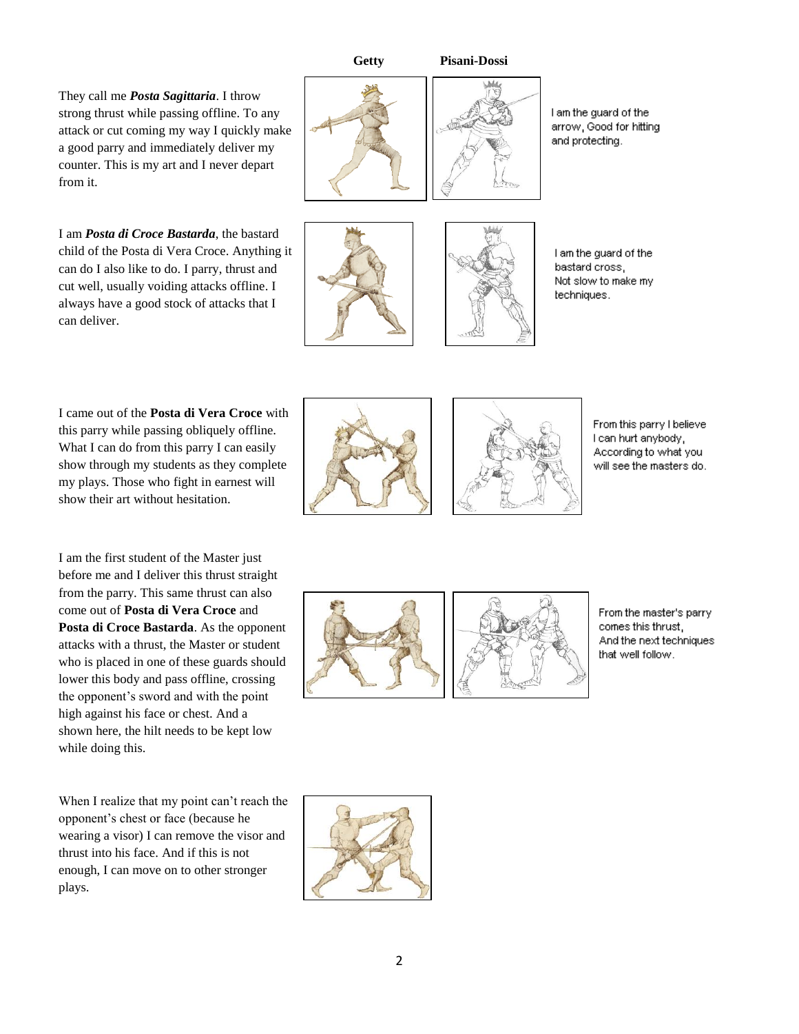**Getty Pisani-Dossi**

They call me *Posta Sagittaria*. I throw strong thrust while passing offline. To any attack or cut coming my way I quickly make a good parry and immediately deliver my counter. This is my art and I never depart from it.

I am *Posta di Croce Bastarda*, the bastard child of the Posta di Vera Croce. Anything it can do I also like to do. I parry, thrust and cut well, usually voiding attacks offline. I always have a good stock of attacks that I can deliver.



I am the guard of the arrow, Good for hitting and protecting.

I am the guard of the bastard cross, Not slow to make my techniques.

I came out of the **Posta di Vera Croce** with this parry while passing obliquely offline. What I can do from this parry I can easily show through my students as they complete my plays. Those who fight in earnest will show their art without hesitation.

I am the first student of the Master just before me and I deliver this thrust straight from the parry. This same thrust can also come out of **Posta di Vera Croce** and **Posta di Croce Bastarda**. As the opponent attacks with a thrust, the Master or student who is placed in one of these guards should lower this body and pass offline, crossing the opponent's sword and with the point high against his face or chest. And a shown here, the hilt needs to be kept low while doing this.

When I realize that my point can't reach the opponent's chest or face (because he wearing a visor) I can remove the visor and thrust into his face. And if this is not enough, I can move on to other stronger plays.





From this parry I believe I can hurt anybody, According to what you will see the masters do.



From the master's parry comes this thrust, And the next techniques that well follow.

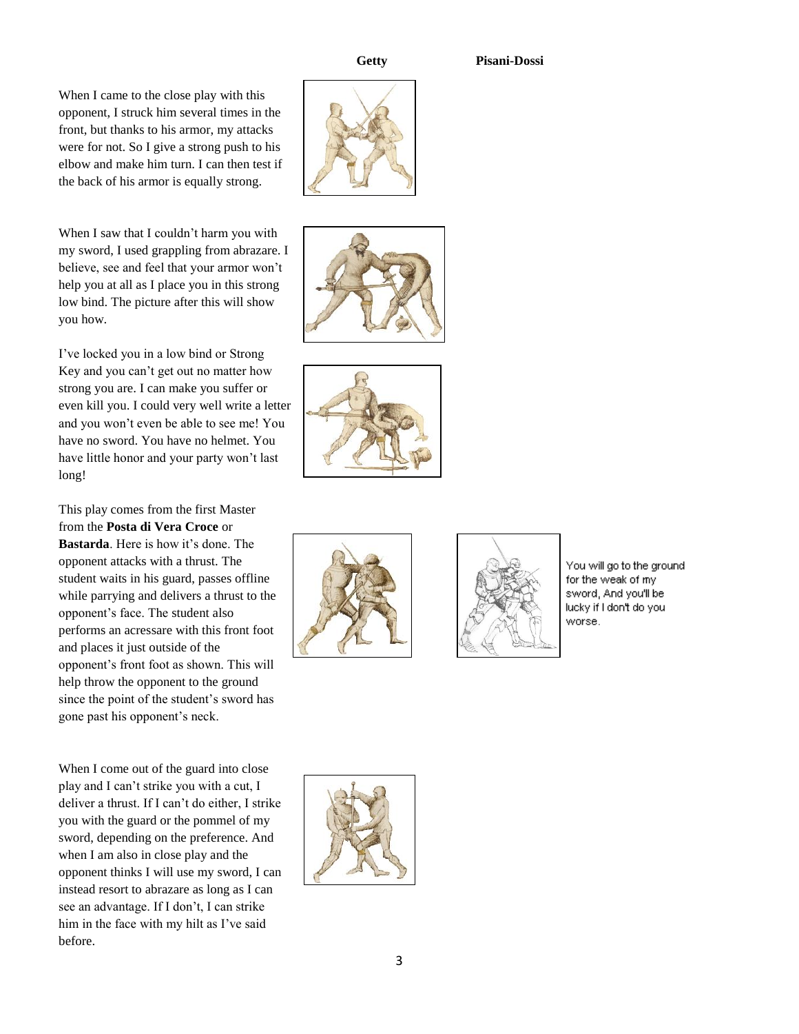## **Getty Pisani-Dossi**

When I came to the close play with this opponent, I struck him several times in the front, but thanks to his armor, my attacks were for not. So I give a strong push to his elbow and make him turn. I can then test if the back of his armor is equally strong.

When I saw that I couldn't harm you with my sword, I used grappling from abrazare. I believe, see and feel that your armor won't help you at all as I place you in this strong low bind. The picture after this will show you how.

I've locked you in a low bind or Strong Key and you can't get out no matter how strong you are. I can make you suffer or even kill you. I could very well write a letter and you won't even be able to see me! You have no sword. You have no helmet. You have little honor and your party won't last long!

This play comes from the first Master from the **Posta di Vera Croce** or **Bastarda**. Here is how it's done. The opponent attacks with a thrust. The student waits in his guard, passes offline while parrying and delivers a thrust to the opponent's face. The student also performs an acressare with this front foot and places it just outside of the opponent's front foot as shown. This will help throw the opponent to the ground since the point of the student's sword has gone past his opponent's neck.

When I come out of the guard into close play and I can't strike you with a cut, I deliver a thrust. If I can't do either, I strike you with the guard or the pommel of my sword, depending on the preference. And when I am also in close play and the opponent thinks I will use my sword, I can instead resort to abrazare as long as I can see an advantage. If I don't, I can strike him in the face with my hilt as I've said before.

You will go to the ground for the weak of my sword, And you'll be lucky if I don't do you worse.









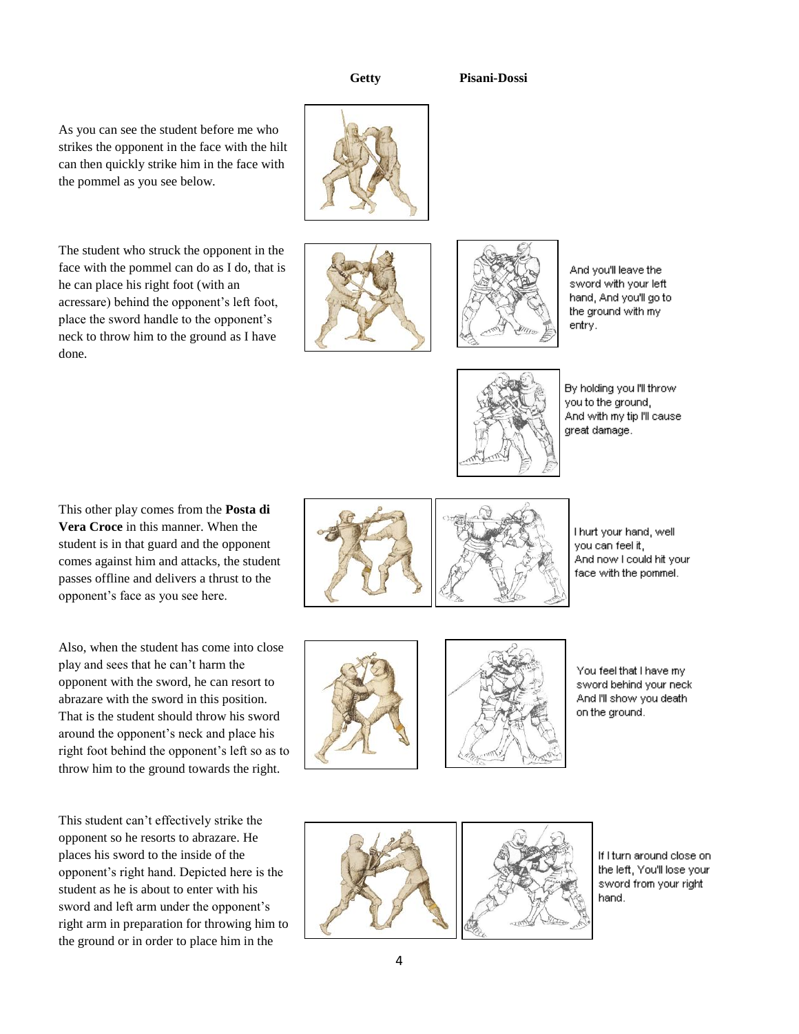### **Getty Pisani-Dossi**





And you'll leave the sword with your left hand, And you'll go to the ground with my entry.



By holding you I'll throw you to the ground, And with my tip I'll cause great damage.

This other play comes from the **Posta di Vera Croce** in this manner. When the student is in that guard and the opponent comes against him and attacks, the student passes offline and delivers a thrust to the opponent's face as you see here.

As you can see the student before me who strikes the opponent in the face with the hilt can then quickly strike him in the face with

The student who struck the opponent in the face with the pommel can do as I do, that is

he can place his right foot (with an acressare) behind the opponent's left foot, place the sword handle to the opponent's neck to throw him to the ground as I have

done.

the pommel as you see below.

Also, when the student has come into close play and sees that he can't harm the opponent with the sword, he can resort to abrazare with the sword in this position. That is the student should throw his sword around the opponent's neck and place his right foot behind the opponent's left so as to throw him to the ground towards the right.

This student can't effectively strike the opponent so he resorts to abrazare. He places his sword to the inside of the opponent's right hand. Depicted here is the student as he is about to enter with his sword and left arm under the opponent's right arm in preparation for throwing him to the ground or in order to place him in the



I hurt your hand, well you can feel it, And now I could hit your face with the pommel.





You feel that I have my sword behind your neck And I'll show you death on the ground.



If I turn around close on the left, You'll lose your sword from your right hand.